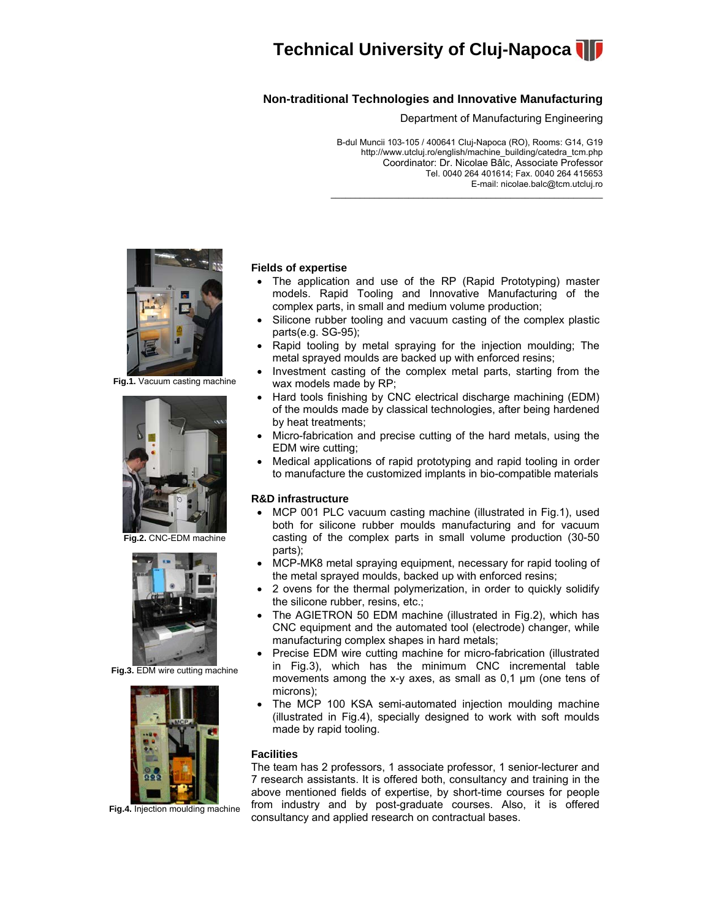

## **Non-traditional Technologies and Innovative Manufacturing**

Department of Manufacturing Engineering

B-dul Muncii 103-105 / 400641 Cluj-Napoca (RO), Rooms: G14, G19 http://www.utcluj.ro/english/machine\_building/catedra\_tcm.php Coordinator: Dr. Nicolae Bâlc, Associate Professor Tel. 0040 264 401614; Fax. 0040 264 415653 E-mail: nicolae.balc@tcm.utcluj.ro

 $\mathcal{L}_\text{max}$  and  $\mathcal{L}_\text{max}$  and  $\mathcal{L}_\text{max}$  and  $\mathcal{L}_\text{max}$  and  $\mathcal{L}_\text{max}$ 



**Fig.1.** Vacuum casting machine



**Fig.2.** CNC-EDM machine



**Fig.3.** EDM wire cutting machine



**Fig.4.** Injection moulding machine

### **Fields of expertise**

- The application and use of the RP (Rapid Prototyping) master models. Rapid Tooling and Innovative Manufacturing of the complex parts, in small and medium volume production;
- Silicone rubber tooling and vacuum casting of the complex plastic parts(e.g. SG-95);
- Rapid tooling by metal spraying for the injection moulding; The metal sprayed moulds are backed up with enforced resins;
- Investment casting of the complex metal parts, starting from the wax models made by RP;
- Hard tools finishing by CNC electrical discharge machining (EDM) of the moulds made by classical technologies, after being hardened by heat treatments;
- Micro-fabrication and precise cutting of the hard metals, using the EDM wire cutting;
- Medical applications of rapid prototyping and rapid tooling in order to manufacture the customized implants in bio-compatible materials

#### **R&D infrastructure**

- MCP 001 PLC vacuum casting machine (illustrated in Fig.1), used both for silicone rubber moulds manufacturing and for vacuum casting of the complex parts in small volume production (30-50 parts);
- MCP-MK8 metal spraying equipment, necessary for rapid tooling of the metal sprayed moulds, backed up with enforced resins;
- 2 ovens for the thermal polymerization, in order to quickly solidify the silicone rubber, resins, etc.;
- The AGIETRON 50 EDM machine (illustrated in Fig.2), which has CNC equipment and the automated tool (electrode) changer, while manufacturing complex shapes in hard metals;
- Precise EDM wire cutting machine for micro-fabrication (illustrated in Fig.3), which has the minimum CNC incremental table movements among the x-y axes, as small as 0,1 µm (one tens of microns);
- The MCP 100 KSA semi-automated injection moulding machine (illustrated in Fig.4), specially designed to work with soft moulds made by rapid tooling.

### **Facilities**

The team has 2 professors, 1 associate professor, 1 senior-lecturer and 7 research assistants. It is offered both, consultancy and training in the above mentioned fields of expertise, by short-time courses for people from industry and by post-graduate courses. Also, it is offered consultancy and applied research on contractual bases.